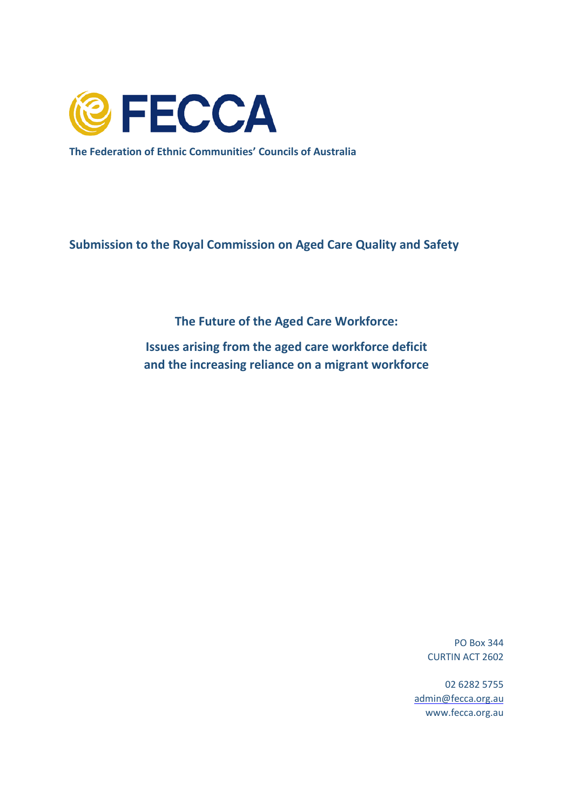

**The Federation of Ethnic Communities' Councils of Australia**

**Submission to the Royal Commission on Aged Care Quality and Safety**

**The Future of the Aged Care Workforce:**

**Issues arising from the aged care workforce deficit and the increasing reliance on a migrant workforce**

> PO Box 344 CURTIN ACT 2602

02 6282 5755 [admin@fecca.org.au](mailto:admin@fecca.org.au) www.fecca.org.au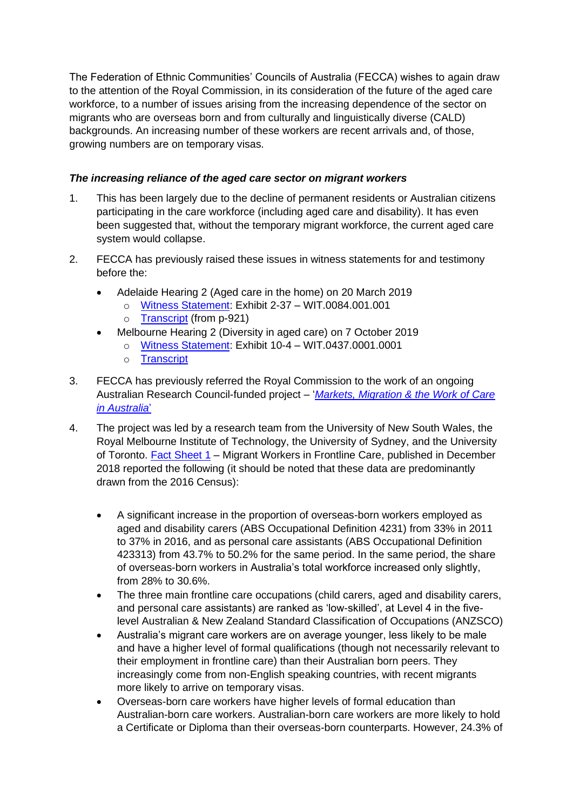The Federation of Ethnic Communities' Councils of Australia (FECCA) wishes to again draw to the attention of the Royal Commission, in its consideration of the future of the aged care workforce, to a number of issues arising from the increasing dependence of the sector on migrants who are overseas born and from culturally and linguistically diverse (CALD) backgrounds. An increasing number of these workers are recent arrivals and, of those, growing numbers are on temporary visas.

## *The increasing reliance of the aged care sector on migrant workers*

- 1. This has been largely due to the decline of permanent residents or Australian citizens participating in the care workforce (including aged care and disability). It has even been suggested that, without the temporary migrant workforce, the current aged care system would collapse.
- 2. FECCA has previously raised these issues in witness statements for and testimony before the:
	- Adelaide Hearing 2 (Aged care in the home) on 20 March 2019
		- o [Witness Statement:](https://agedcare.royalcommission.gov.au/hearings/Documents/exhibits-2019/20-march/WIT.0084.0001.0001.pdf) Exhibit 2-37 WIT.0084.001.001
		- o [Transcript](https://agedcare.royalcommission.gov.au/hearings/Documents/transcripts-2019/transcript-20-march-2019.pdf) (from p-921)
	- Melbourne Hearing 2 (Diversity in aged care) on 7 October 2019
		- o [Witness Statement:](https://agedcare.royalcommission.gov.au/hearings/Documents/exhibits-2019/7-october/WIT.0437.0001.0001.pdf) Exhibit 10-4 WIT.0437.0001.0001
		- o [Transcript](https://agedcare.royalcommission.gov.au/hearings/Documents/transcripts-2019/transcript-7-october-2019.pdf)
- 3. FECCA has previously referred the Royal Commission to the work of an ongoing Australian Research Council-funded project – '*[Markets, Migration & the Work of Care](https://www.sprc.unsw.edu.au/research/projects/markets-migration-and-the-work-of-care-in-australia-/)  [in Australia](https://www.sprc.unsw.edu.au/research/projects/markets-migration-and-the-work-of-care-in-australia-/)*'
- 4. The project was led by a research team from the University of New South Wales, the Royal Melbourne Institute of Technology, the University of Sydney, and the University of Toronto. [Fact Sheet](https://www.arts.unsw.edu.au/sites/default/files/documents/Migrant%20Workers%20in%20Frontline%20Care.pdf) 1 – Migrant Workers in Frontline Care, published in December 2018 reported the following (it should be noted that these data are predominantly drawn from the 2016 Census):
	- A significant increase in the proportion of overseas-born workers employed as aged and disability carers (ABS Occupational Definition 4231) from 33% in 2011 to 37% in 2016, and as personal care assistants (ABS Occupational Definition 423313) from 43.7% to 50.2% for the same period. In the same period, the share of overseas-born workers in Australia's total workforce increased only slightly, from 28% to 30.6%.
	- The three main frontline care occupations (child carers, aged and disability carers, and personal care assistants) are ranked as 'low-skilled', at Level 4 in the fivelevel Australian & New Zealand Standard Classification of Occupations (ANZSCO)
	- Australia's migrant care workers are on average younger, less likely to be male and have a higher level of formal qualifications (though not necessarily relevant to their employment in frontline care) than their Australian born peers. They increasingly come from non-English speaking countries, with recent migrants more likely to arrive on temporary visas.
	- Overseas-born care workers have higher levels of formal education than Australian-born care workers. Australian-born care workers are more likely to hold a Certificate or Diploma than their overseas-born counterparts. However, 24.3% of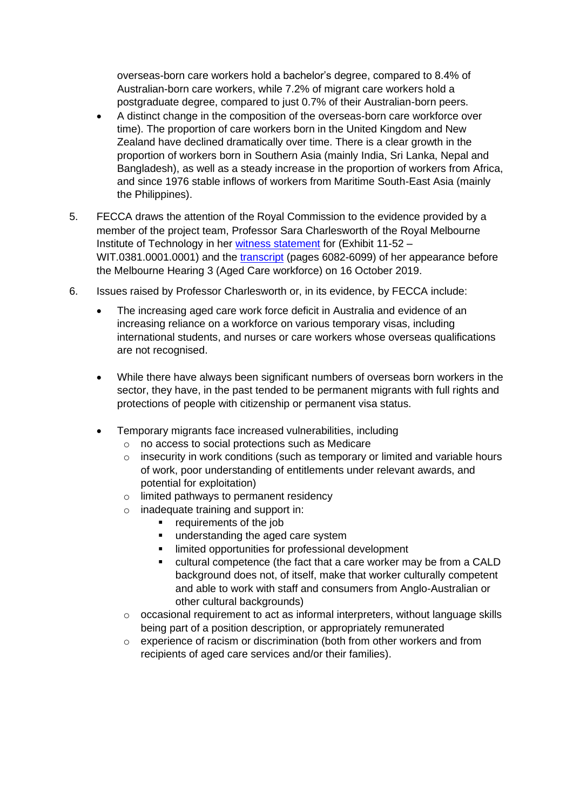overseas-born care workers hold a bachelor's degree, compared to 8.4% of Australian-born care workers, while 7.2% of migrant care workers hold a postgraduate degree, compared to just 0.7% of their Australian-born peers.

- A distinct change in the composition of the overseas-born care workforce over time). The proportion of care workers born in the United Kingdom and New Zealand have declined dramatically over time. There is a clear growth in the proportion of workers born in Southern Asia (mainly India, Sri Lanka, Nepal and Bangladesh), as well as a steady increase in the proportion of workers from Africa, and since 1976 stable inflows of workers from Maritime South-East Asia (mainly the Philippines).
- 5. FECCA draws the attention of the Royal Commission to the evidence provided by a member of the project team, Professor Sara Charlesworth of the Royal Melbourne Institute of Technology in her [witness statement](https://agedcare.royalcommission.gov.au/hearings/Documents/exhibits-2019/16-october/WIT.0381.0001.0001.pdf) for (Exhibit 11-52 – WIT.0381.0001.0001) and the [transcript](https://agedcare.royalcommission.gov.au/hearings/Documents/transcripts-2019/transcript-16-october-2019.pdf) (pages 6082-6099) of her appearance before the Melbourne Hearing 3 (Aged Care workforce) on 16 October 2019.
- 6. Issues raised by Professor Charlesworth or, in its evidence, by FECCA include:
	- The increasing aged care work force deficit in Australia and evidence of an increasing reliance on a workforce on various temporary visas, including international students, and nurses or care workers whose overseas qualifications are not recognised.
	- While there have always been significant numbers of overseas born workers in the sector, they have, in the past tended to be permanent migrants with full rights and protections of people with citizenship or permanent visa status.
	- Temporary migrants face increased vulnerabilities, including
		- o no access to social protections such as Medicare
		- $\circ$  insecurity in work conditions (such as temporary or limited and variable hours of work, poor understanding of entitlements under relevant awards, and potential for exploitation)
		- o limited pathways to permanent residency
		- o inadequate training and support in:
			- requirements of the job
			- **■** understanding the aged care system
			- limited opportunities for professional development
			- cultural competence (the fact that a care worker may be from a CALD background does not, of itself, make that worker culturally competent and able to work with staff and consumers from Anglo-Australian or other cultural backgrounds)
		- o occasional requirement to act as informal interpreters, without language skills being part of a position description, or appropriately remunerated
		- $\circ$  experience of racism or discrimination (both from other workers and from recipients of aged care services and/or their families).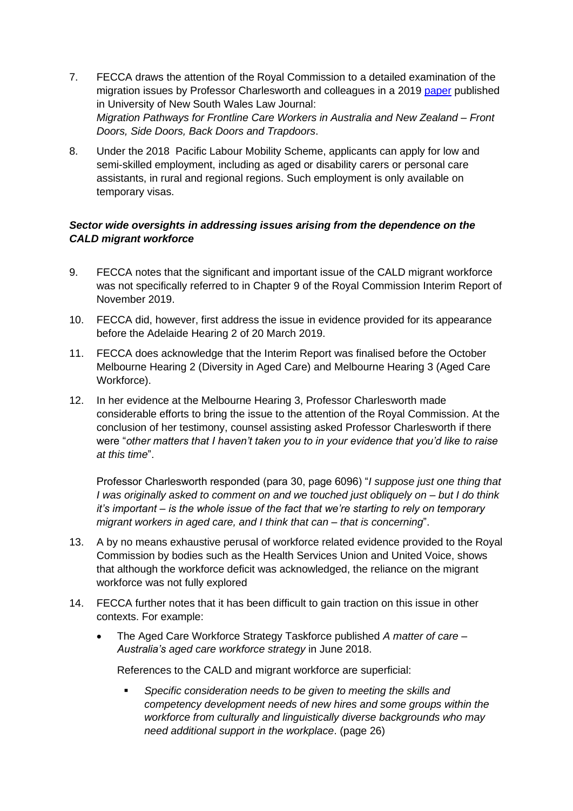- 7. FECCA draws the attention of the Royal Commission to a detailed examination of the migration issues by Professor Charlesworth and colleagues in a 2019 [paper](http://www.unswlawjournal.unsw.edu.au/article/migration-pathways-for-frontline-care-workers-in-australia-and-new-zealand-front-doors-side-doors-back-doors-and-trapdoors/) published in University of New South Wales Law Journal: *Migration Pathways for Frontline Care Workers in Australia and New Zealand – Front Doors, Side Doors, Back Doors and Trapdoors*.
- 8. Under the 2018 Pacific Labour Mobility Scheme, applicants can apply for low and semi-skilled employment, including as aged or disability carers or personal care assistants, in rural and regional regions. Such employment is only available on temporary visas.

## *Sector wide oversights in addressing issues arising from the dependence on the CALD migrant workforce*

- 9. FECCA notes that the significant and important issue of the CALD migrant workforce was not specifically referred to in Chapter 9 of the Royal Commission Interim Report of November 2019.
- 10. FECCA did, however, first address the issue in evidence provided for its appearance before the Adelaide Hearing 2 of 20 March 2019.
- 11. FECCA does acknowledge that the Interim Report was finalised before the October Melbourne Hearing 2 (Diversity in Aged Care) and Melbourne Hearing 3 (Aged Care Workforce).
- 12. In her evidence at the Melbourne Hearing 3, Professor Charlesworth made considerable efforts to bring the issue to the attention of the Royal Commission. At the conclusion of her testimony, counsel assisting asked Professor Charlesworth if there were "*other matters that I haven't taken you to in your evidence that you'd like to raise at this time*".

Professor Charlesworth responded (para 30, page 6096) "*I suppose just one thing that I was originally asked to comment on and we touched just obliquely on – but I do think it's important – is the whole issue of the fact that we're starting to rely on temporary migrant workers in aged care, and I think that can – that is concerning*".

- 13. A by no means exhaustive perusal of workforce related evidence provided to the Royal Commission by bodies such as the Health Services Union and United Voice, shows that although the workforce deficit was acknowledged, the reliance on the migrant workforce was not fully explored
- 14. FECCA further notes that it has been difficult to gain traction on this issue in other contexts. For example:
	- The Aged Care Workforce Strategy Taskforce published *A matter of care – Australia's aged care workforce strategy* in June 2018.

References to the CALD and migrant workforce are superficial:

▪ *Specific consideration needs to be given to meeting the skills and competency development needs of new hires and some groups within the workforce from culturally and linguistically diverse backgrounds who may need additional support in the workplace*. (page 26)